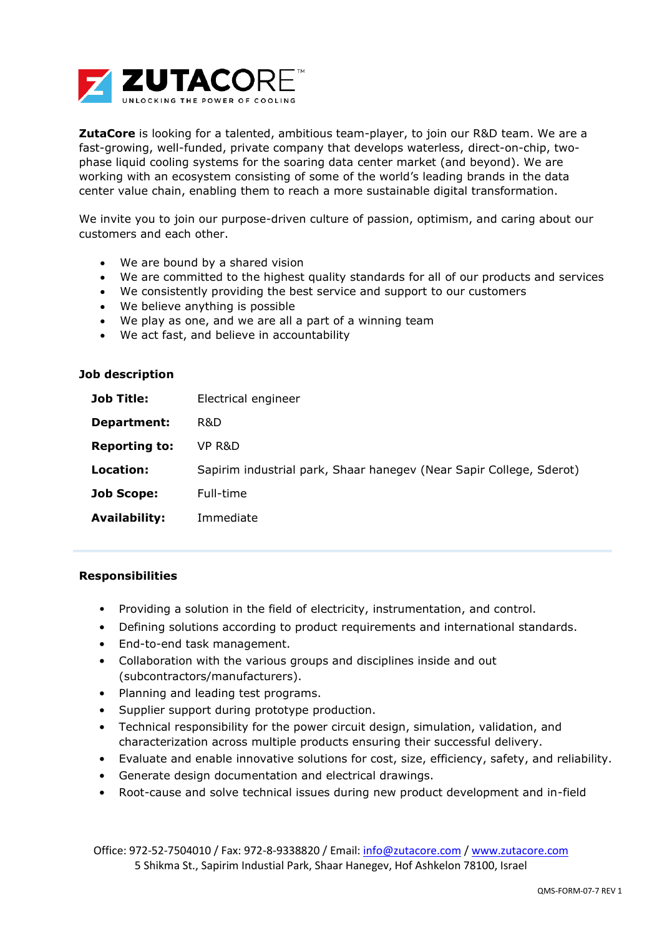

**ZutaCore** is looking for a talented, ambitious team-player, to join our R&D team. We are a fast-growing, well-funded, private company that develops waterless, direct-on-chip, twophase liquid cooling systems for the soaring data center market (and beyond). We are working with an ecosystem consisting of some of the world's leading brands in the data center value chain, enabling them to reach a more sustainable digital transformation.

We invite you to join our purpose-driven culture of passion, optimism, and caring about our customers and each other.

- We are bound by a shared vision
- We are committed to the highest quality standards for all of our products and services
- We consistently providing the best service and support to our customers
- We believe anything is possible
- We play as one, and we are all a part of a winning team
- We act fast, and believe in accountability

| Job description |  |
|-----------------|--|
|-----------------|--|

| <b>Job Title:</b>    | Electrical engineer                                                 |
|----------------------|---------------------------------------------------------------------|
| Department:          | R&D                                                                 |
| <b>Reporting to:</b> | VP R&D                                                              |
| Location:            | Sapirim industrial park, Shaar hanegev (Near Sapir College, Sderot) |
| <b>Job Scope:</b>    | Full-time                                                           |
| <b>Availability:</b> | Immediate                                                           |

## **Responsibilities**

- Providing a solution in the field of electricity, instrumentation, and control.
- Defining solutions according to product requirements and international standards.
- End-to-end task management.
- Collaboration with the various groups and disciplines inside and out (subcontractors/manufacturers).
- Planning and leading test programs.
- Supplier support during prototype production.
- Technical responsibility for the power circuit design, simulation, validation, and characterization across multiple products ensuring their successful delivery.
- Evaluate and enable innovative solutions for cost, size, efficiency, safety, and reliability.
- Generate design documentation and electrical drawings.
- Root-cause and solve technical issues during new product development and in-field

Office: 972-52-7504010 / Fax: 972-8-9338820 / Email: [info@zutacore.com](mailto:info@zutacore.com) / [www.zutacore.com](http://www.zutacore.com/) 5 Shikma St., Sapirim Industial Park, Shaar Hanegev, Hof Ashkelon 78100, Israel